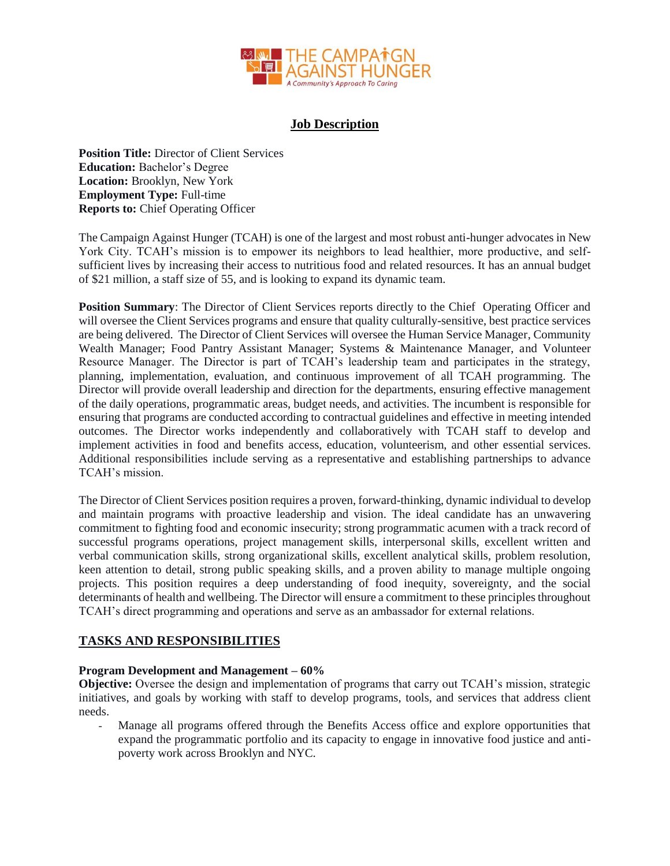

# **Job Description**

**Position Title:** Director of Client Services **Education:** Bachelor's Degree **Location:** Brooklyn, New York **Employment Type:** Full-time **Reports to:** Chief Operating Officer

The Campaign Against Hunger (TCAH) is one of the largest and most robust anti-hunger advocates in New York City. TCAH's mission is to empower its neighbors to lead healthier, more productive, and selfsufficient lives by increasing their access to nutritious food and related resources. It has an annual budget of \$21 million, a staff size of 55, and is looking to expand its dynamic team.

**Position Summary**: The Director of Client Services reports directly to the Chief Operating Officer and will oversee the Client Services programs and ensure that quality culturally-sensitive, best practice services are being delivered. The Director of Client Services will oversee the Human Service Manager, Community Wealth Manager; Food Pantry Assistant Manager; Systems & Maintenance Manager, and Volunteer Resource Manager. The Director is part of TCAH's leadership team and participates in the strategy, planning, implementation, evaluation, and continuous improvement of all TCAH programming. The Director will provide overall leadership and direction for the departments, ensuring effective management of the daily operations, programmatic areas, budget needs, and activities. The incumbent is responsible for ensuring that programs are conducted according to contractual guidelines and effective in meeting intended outcomes. The Director works independently and collaboratively with TCAH staff to develop and implement activities in food and benefits access, education, volunteerism, and other essential services. Additional responsibilities include serving as a representative and establishing partnerships to advance TCAH's mission.

The Director of Client Services position requires a proven, forward-thinking, dynamic individual to develop and maintain programs with proactive leadership and vision. The ideal candidate has an unwavering commitment to fighting food and economic insecurity; strong programmatic acumen with a track record of successful programs operations, project management skills, interpersonal skills, excellent written and verbal communication skills, strong organizational skills, excellent analytical skills, problem resolution, keen attention to detail, strong public speaking skills, and a proven ability to manage multiple ongoing projects. This position requires a deep understanding of food inequity, sovereignty, and the social determinants of health and wellbeing. The Director will ensure a commitment to these principles throughout TCAH's direct programming and operations and serve as an ambassador for external relations.

# **TASKS AND RESPONSIBILITIES**

### **Program Development and Management – 60%**

**Objective:** Oversee the design and implementation of programs that carry out TCAH's mission, strategic initiatives, and goals by working with staff to develop programs, tools, and services that address client needs.

Manage all programs offered through the Benefits Access office and explore opportunities that expand the programmatic portfolio and its capacity to engage in innovative food justice and antipoverty work across Brooklyn and NYC.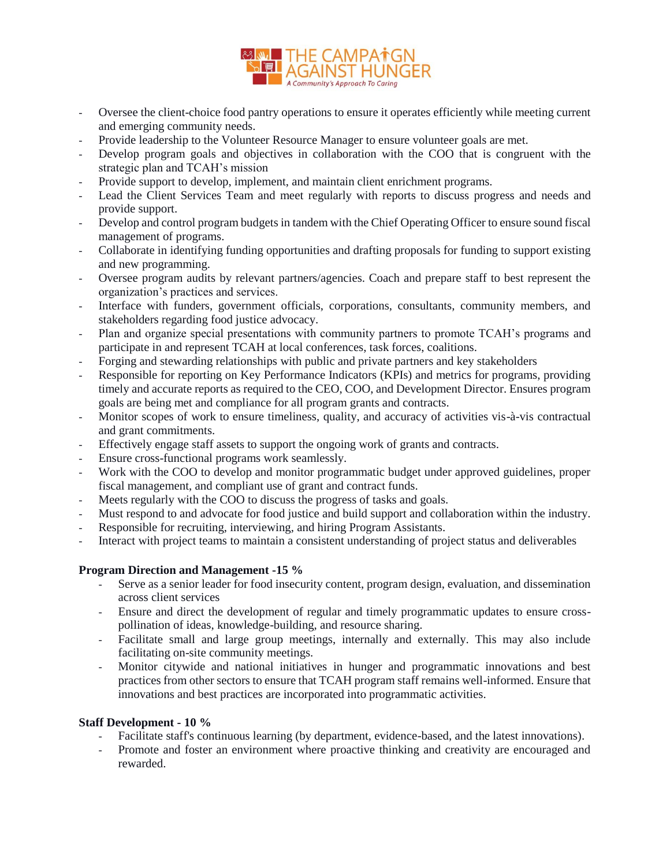

- Oversee the client-choice food pantry operations to ensure it operates efficiently while meeting current and emerging community needs.
- Provide leadership to the Volunteer Resource Manager to ensure volunteer goals are met.
- Develop program goals and objectives in collaboration with the COO that is congruent with the strategic plan and TCAH's mission
- Provide support to develop, implement, and maintain client enrichment programs.
- Lead the Client Services Team and meet regularly with reports to discuss progress and needs and provide support.
- Develop and control program budgets in tandem with the Chief Operating Officer to ensure sound fiscal management of programs.
- Collaborate in identifying funding opportunities and drafting proposals for funding to support existing and new programming.
- Oversee program audits by relevant partners/agencies. Coach and prepare staff to best represent the organization's practices and services.
- Interface with funders, government officials, corporations, consultants, community members, and stakeholders regarding food justice advocacy.
- Plan and organize special presentations with community partners to promote TCAH's programs and participate in and represent TCAH at local conferences, task forces, coalitions.
- Forging and stewarding relationships with public and private partners and key stakeholders
- Responsible for reporting on Key Performance Indicators (KPIs) and metrics for programs, providing timely and accurate reports as required to the CEO, COO, and Development Director. Ensures program goals are being met and compliance for all program grants and contracts.
- Monitor scopes of work to ensure timeliness, quality, and accuracy of activities vis-à-vis contractual and grant commitments.
- Effectively engage staff assets to support the ongoing work of grants and contracts.
- Ensure cross-functional programs work seamlessly.
- Work with the COO to develop and monitor programmatic budget under approved guidelines, proper fiscal management, and compliant use of grant and contract funds.
- Meets regularly with the COO to discuss the progress of tasks and goals.
- Must respond to and advocate for food justice and build support and collaboration within the industry.
- Responsible for recruiting, interviewing, and hiring Program Assistants.
- Interact with project teams to maintain a consistent understanding of project status and deliverables

### **Program Direction and Management -15 %**

- Serve as a senior leader for food insecurity content, program design, evaluation, and dissemination across client services
- Ensure and direct the development of regular and timely programmatic updates to ensure crosspollination of ideas, knowledge-building, and resource sharing.
- Facilitate small and large group meetings, internally and externally. This may also include facilitating on-site community meetings.
- Monitor citywide and national initiatives in hunger and programmatic innovations and best practices from other sectors to ensure that TCAH program staff remains well-informed. Ensure that innovations and best practices are incorporated into programmatic activities.

### **Staff Development - 10 %**

- Facilitate staff's continuous learning (by department, evidence-based, and the latest innovations).
- Promote and foster an environment where proactive thinking and creativity are encouraged and rewarded.